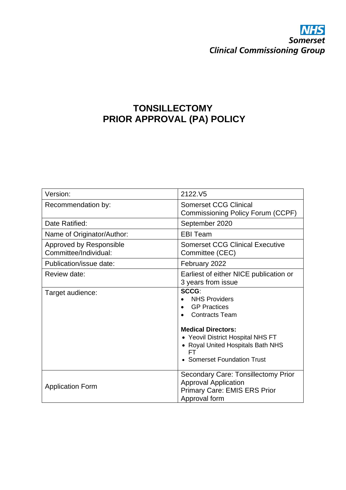# **NHS**<br>Somerset **Clinical Commissioning Group**

## **TONSILLECTOMY PRIOR APPROVAL (PA) POLICY**

| Version:                                         | 2122.V5                                                                                                                                                                                                                   |
|--------------------------------------------------|---------------------------------------------------------------------------------------------------------------------------------------------------------------------------------------------------------------------------|
| Recommendation by:                               | <b>Somerset CCG Clinical</b><br>Commissioning Policy Forum (CCPF)                                                                                                                                                         |
| Date Ratified:                                   | September 2020                                                                                                                                                                                                            |
| Name of Originator/Author:                       | <b>EBI Team</b>                                                                                                                                                                                                           |
| Approved by Responsible<br>Committee/Individual: | <b>Somerset CCG Clinical Executive</b><br>Committee (CEC)                                                                                                                                                                 |
| Publication/issue date:                          | February 2022                                                                                                                                                                                                             |
| Review date:                                     | Earliest of either NICE publication or<br>3 years from issue                                                                                                                                                              |
| Target audience:                                 | SCCG:<br><b>NHS Providers</b><br><b>GP Practices</b><br><b>Contracts Team</b><br><b>Medical Directors:</b><br>• Yeovil District Hospital NHS FT<br>• Royal United Hospitals Bath NHS<br>FТ<br>• Somerset Foundation Trust |
| <b>Application Form</b>                          | <b>Secondary Care: Tonsillectomy Prior</b><br><b>Approval Application</b><br>Primary Care: EMIS ERS Prior<br>Approval form                                                                                                |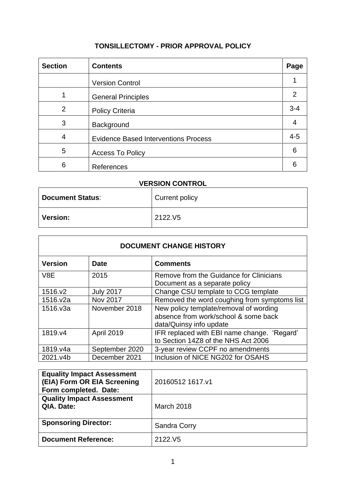### **TONSILLECTOMY - PRIOR APPROVAL POLICY**

| <b>Section</b> | <b>Contents</b>                             | Page          |
|----------------|---------------------------------------------|---------------|
|                | <b>Version Control</b>                      |               |
|                | <b>General Principles</b>                   | $\mathcal{P}$ |
| $\overline{2}$ | <b>Policy Criteria</b>                      | $3 - 4$       |
| 3              | Background                                  | 4             |
| 4              | <b>Evidence Based Interventions Process</b> | $4 - 5$       |
| 5              | <b>Access To Policy</b>                     | 6             |
| 6              | References                                  |               |

## **VERSION CONTROL**

| <b>Document Status:</b> | Current policy |
|-------------------------|----------------|
| <b>Version:</b>         | 2122.V5        |

| <b>DOCUMENT CHANGE HISTORY</b> |                  |                                                                                                           |
|--------------------------------|------------------|-----------------------------------------------------------------------------------------------------------|
| <b>Version</b>                 | <b>Date</b>      | <b>Comments</b>                                                                                           |
| V8E                            | 2015             | Remove from the Guidance for Clinicians<br>Document as a separate policy                                  |
| 1516.v2                        | <b>July 2017</b> | Change CSU template to CCG template                                                                       |
| 1516.v2a                       | <b>Nov 2017</b>  | Removed the word coughing from symptoms list                                                              |
| 1516.v3a                       | November 2018    | New policy template/removal of wording<br>absence from work/school & some back<br>data/Quinsy info update |
| 1819.v4                        | April 2019       | IFR replaced with EBI name change. 'Regard'<br>to Section 14Z8 of the NHS Act 2006                        |
| 1819.v4a                       | September 2020   | 3-year review CCPF no amendments                                                                          |
| 2021.v4b                       | December 2021    | Inclusion of NICE NG202 for OSAHS                                                                         |

| <b>Equality Impact Assessment</b><br>(EIA) Form OR EIA Screening<br>Form completed. Date: | 20160512 1617.v1    |
|-------------------------------------------------------------------------------------------|---------------------|
| <b>Quality Impact Assessment</b><br>QIA. Date:                                            | March 2018          |
| <b>Sponsoring Director:</b>                                                               | <b>Sandra Corry</b> |
| <b>Document Reference:</b>                                                                | 2122.V <sub>5</sub> |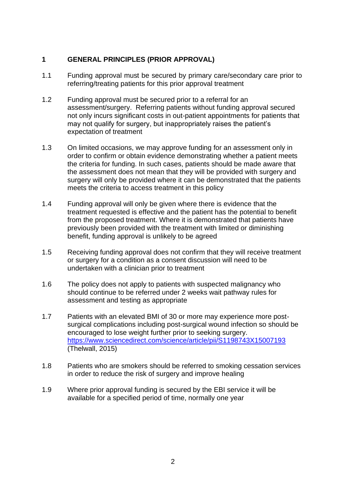#### **1 GENERAL PRINCIPLES (PRIOR APPROVAL)**

- 1.1 Funding approval must be secured by primary care/secondary care prior to referring/treating patients for this prior approval treatment
- 1.2 Funding approval must be secured prior to a referral for an assessment/surgery. Referring patients without funding approval secured not only incurs significant costs in out-patient appointments for patients that may not qualify for surgery, but inappropriately raises the patient's expectation of treatment
- 1.3 On limited occasions, we may approve funding for an assessment only in order to confirm or obtain evidence demonstrating whether a patient meets the criteria for funding. In such cases, patients should be made aware that the assessment does not mean that they will be provided with surgery and surgery will only be provided where it can be demonstrated that the patients meets the criteria to access treatment in this policy
- 1.4 Funding approval will only be given where there is evidence that the treatment requested is effective and the patient has the potential to benefit from the proposed treatment. Where it is demonstrated that patients have previously been provided with the treatment with limited or diminishing benefit, funding approval is unlikely to be agreed
- 1.5 Receiving funding approval does not confirm that they will receive treatment or surgery for a condition as a consent discussion will need to be undertaken with a clinician prior to treatment
- 1.6 The policy does not apply to patients with suspected malignancy who should continue to be referred under 2 weeks wait pathway rules for assessment and testing as appropriate
- 1.7 Patients with an elevated BMI of 30 or more may experience more postsurgical complications including post-surgical wound infection so should be encouraged to lose weight further prior to seeking surgery. <https://www.sciencedirect.com/science/article/pii/S1198743X15007193> (Thelwall, 2015)
- 1.8 Patients who are smokers should be referred to smoking cessation services in order to reduce the risk of surgery and improve healing
- 1.9 Where prior approval funding is secured by the EBI service it will be available for a specified period of time, normally one year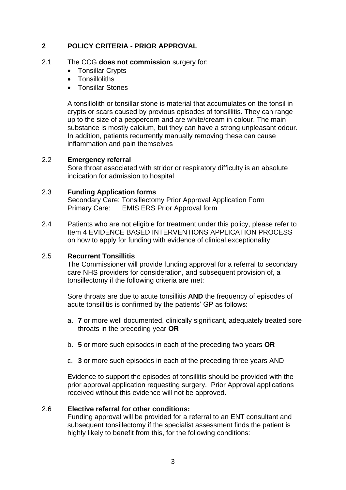#### **2 POLICY CRITERIA - PRIOR APPROVAL**

#### 2.1 The CCG **does not commission** surgery for:

- Tonsillar Crypts
- **Tonsilloliths**
- Tonsillar Stones

A tonsillolith or tonsillar stone is material that accumulates on the tonsil in crypts or scars caused by previous episodes of tonsillitis. They can range up to the size of a peppercorn and are white/cream in colour. The main substance is mostly calcium, but they can have a strong unpleasant odour. In addition, patients recurrently manually removing these can cause inflammation and pain themselves

#### 2.2 **Emergency referral**

Sore throat associated with stridor or respiratory difficulty is an absolute indication for admission to hospital

#### 2.3 **Funding Application forms**

Secondary Care: Tonsillectomy Prior Approval Application Form Primary Care: EMIS ERS Prior Approval form

2.4 Patients who are not eligible for treatment under this policy, please refer to Item 4 EVIDENCE BASED INTERVENTIONS APPLICATION PROCESS on how to apply for funding with evidence of clinical exceptionality

#### 2.5 **Recurrent Tonsillitis**

The Commissioner will provide funding approval for a referral to secondary care NHS providers for consideration, and subsequent provision of, a tonsillectomy if the following criteria are met:

Sore throats are due to acute tonsillitis **AND** the frequency of episodes of acute tonsillitis is confirmed by the patients' GP as follows:

- a. **7** or more well documented, clinically significant, adequately treated sore throats in the preceding year **OR**
- b. **5** or more such episodes in each of the preceding two years **OR**
- c. **3** or more such episodes in each of the preceding three years AND

Evidence to support the episodes of tonsillitis should be provided with the prior approval application requesting surgery. Prior Approval applications received without this evidence will not be approved.

#### 2.6 **Elective referral for other conditions:**

Funding approval will be provided for a referral to an ENT consultant and subsequent tonsillectomy if the specialist assessment finds the patient is highly likely to benefit from this, for the following conditions: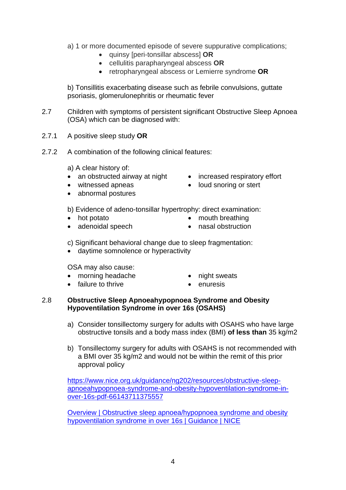- a) 1 or more documented episode of severe suppurative complications;
	- quinsy [peri-tonsillar abscess] **OR**
	- cellulitis parapharyngeal abscess **OR**
	- retropharyngeal abscess or Lemierre syndrome **OR**

b) Tonsillitis exacerbating disease such as febrile convulsions, guttate psoriasis, glomerulonephritis or rheumatic fever

- 2.7 Children with symptoms of persistent significant Obstructive Sleep Apnoea (OSA) which can be diagnosed with:
- 2.7.1 A positive sleep study **OR**
- 2.7.2 A combination of the following clinical features:
	- a) A clear history of:
	- an obstructed airway at night increased respiratory effort
	- witnessed apneas
	- abnormal postures
- 
- loud snoring or stert
- b) Evidence of adeno-tonsillar hypertrophy: direct examination:
- hot potato
- mouth breathing
- adenoidal speech
- nasal obstruction
- 
- c) Significant behavioral change due to sleep fragmentation:
- daytime somnolence or hyperactivity

#### OSA may also cause:

- morning headache
- failure to thrive
- night sweats
- enuresis

#### 2.8 **Obstructive Sleep Apnoeahypopnoea Syndrome and Obesity Hypoventilation Syndrome in over 16s (OSAHS)**

- a) Consider tonsillectomy surgery for adults with OSAHS who have large obstructive tonsils and a body mass index (BMI) **of less than** 35 kg/m2
- b) Tonsillectomy surgery for adults with OSAHS is not recommended with a BMI over 35 kg/m2 and would not be within the remit of this prior approval policy

[https://www.nice.org.uk/guidance/ng202/resources/obstructive-sleep](https://www.nice.org.uk/guidance/ng202/resources/obstructive-sleep-apnoeahypopnoea-syndrome-and-obesity-hypoventilation-syndrome-in-over-16s-pdf-66143711375557)[apnoeahypopnoea-syndrome-and-obesity-hypoventilation-syndrome-in](https://www.nice.org.uk/guidance/ng202/resources/obstructive-sleep-apnoeahypopnoea-syndrome-and-obesity-hypoventilation-syndrome-in-over-16s-pdf-66143711375557)[over-16s-pdf-66143711375557](https://www.nice.org.uk/guidance/ng202/resources/obstructive-sleep-apnoeahypopnoea-syndrome-and-obesity-hypoventilation-syndrome-in-over-16s-pdf-66143711375557)

[Overview | Obstructive sleep apnoea/hypopnoea syndrome and obesity](https://www.nice.org.uk/guidance/ng202)  [hypoventilation syndrome in over 16s | Guidance | NICE](https://www.nice.org.uk/guidance/ng202)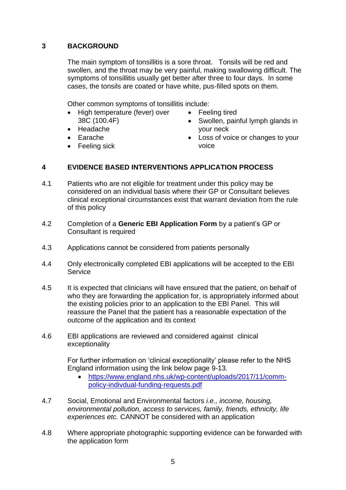#### **3 BACKGROUND**

The main symptom of tonsillitis is a sore throat. Tonsils will be red and swollen, and the throat may be very painful, making swallowing difficult. The symptoms of tonsillitis usually get better after three to four days. In some cases, the tonsils are coated or have white, pus-filled spots on them.

Other common symptoms of tonsillitis include:

- High temperature (fever) over 38C (100.4F)
- Headache
- Earache
- Feeling sick
- Feeling tired
- Swollen, painful lymph glands in your neck
- Loss of voice or changes to your voice

#### **4 EVIDENCE BASED INTERVENTIONS APPLICATION PROCESS**

- 4.1 Patients who are not eligible for treatment under this policy may be considered on an individual basis where their GP or Consultant believes clinical exceptional circumstances exist that warrant deviation from the rule of this policy
- 4.2 Completion of a **Generic EBI Application Form** by a patient's GP or Consultant is required
- 4.3 Applications cannot be considered from patients personally
- 4.4 Only electronically completed EBI applications will be accepted to the EBI **Service**
- 4.5 It is expected that clinicians will have ensured that the patient, on behalf of who they are forwarding the application for, is appropriately informed about the existing policies prior to an application to the EBI Panel. This will reassure the Panel that the patient has a reasonable expectation of the outcome of the application and its context
- 4.6 EBI applications are reviewed and considered against clinical exceptionality

For further information on 'clinical exceptionality' please refer to the NHS England information using the link below page 9-13.

- [https://www.england.nhs.uk/wp-content/uploads/2017/11/comm](https://www.england.nhs.uk/wp-content/uploads/2017/11/comm-policy-indivdual-funding-requests.pdf)[policy-indivdual-funding-requests.pdf](https://www.england.nhs.uk/wp-content/uploads/2017/11/comm-policy-indivdual-funding-requests.pdf)
- 4.7 Social, Emotional and Environmental factors *i.e., income, housing, environmental pollution, access to services, family, friends, ethnicity, life experiences etc.* CANNOT be considered with an application
- 4.8 Where appropriate photographic supporting evidence can be forwarded with the application form